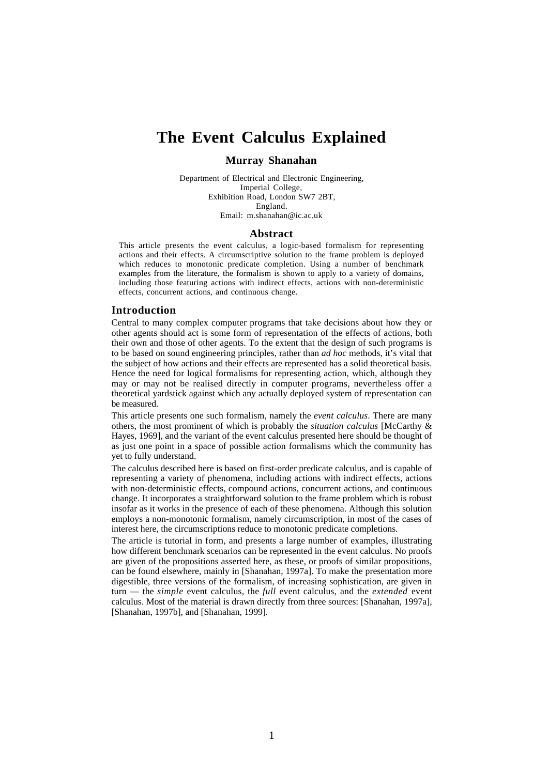# **The Event Calculus Explained**

## **Murray Shanahan**

Department of Electrical and Electronic Engineering, Imperial College, Exhibition Road, London SW7 2BT, England. Email: m.shanahan@ic.ac.uk

#### **Abstract**

This article presents the event calculus, a logic-based formalism for representing actions and their effects. A circumscriptive solution to the frame problem is deployed which reduces to monotonic predicate completion. Using a number of benchmark examples from the literature, the formalism is shown to apply to a variety of domains, including those featuring actions with indirect effects, actions with non-deterministic effects, concurrent actions, and continuous change.

#### **Introduction**

Central to many complex computer programs that take decisions about how they or other agents should act is some form of representation of the effects of actions, both their own and those of other agents. To the extent that the design of such programs is to be based on sound engineering principles, rather than *ad hoc* methods, it's vital that the subject of how actions and their effects are represented has a solid theoretical basis. Hence the need for logical formalisms for representing action, which, although they may or may not be realised directly in computer programs, nevertheless offer a theoretical yardstick against which any actually deployed system of representation can be measured.

This article presents one such formalism, namely the *event calculus*. There are many others, the most prominent of which is probably the *situation calculus* [McCarthy & Hayes, 1969], and the variant of the event calculus presented here should be thought of as just one point in a space of possible action formalisms which the community has yet to fully understand.

The calculus described here is based on first-order predicate calculus, and is capable of representing a variety of phenomena, including actions with indirect effects, actions with non-deterministic effects, compound actions, concurrent actions, and continuous change. It incorporates a straightforward solution to the frame problem which is robust insofar as it works in the presence of each of these phenomena. Although this solution employs a non-monotonic formalism, namely circumscription, in most of the cases of interest here, the circumscriptions reduce to monotonic predicate completions.

The article is tutorial in form, and presents a large number of examples, illustrating how different benchmark scenarios can be represented in the event calculus. No proofs are given of the propositions asserted here, as these, or proofs of similar propositions, can be found elsewhere, mainly in [Shanahan, 1997a]. To make the presentation more digestible, three versions of the formalism, of increasing sophistication, are given in turn — the *simple* event calculus, the *full* event calculus, and the *extended* event calculus. Most of the material is drawn directly from three sources: [Shanahan, 1997a], [Shanahan, 1997b], and [Shanahan, 1999].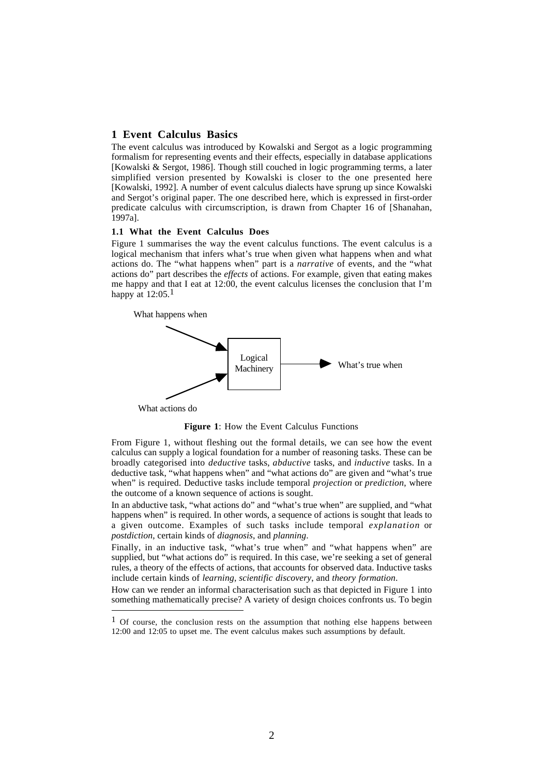# **1 Event Calculus Basics**

The event calculus was introduced by Kowalski and Sergot as a logic programming formalism for representing events and their effects, especially in database applications [Kowalski & Sergot, 1986]. Though still couched in logic programming terms, a later simplified version presented by Kowalski is closer to the one presented here [Kowalski, 1992]. A number of event calculus dialects have sprung up since Kowalski and Sergot's original paper. The one described here, which is expressed in first-order predicate calculus with circumscription, is drawn from Chapter 16 of [Shanahan, 1997a].

#### **1.1 What the Event Calculus Does**

Figure 1 summarises the way the event calculus functions. The event calculus is a logical mechanism that infers what's true when given what happens when and what actions do. The "what happens when" part is a *narrative* of events, and the "what actions do" part describes the *effects* of actions. For example, given that eating makes me happy and that I eat at 12:00, the event calculus licenses the conclusion that I'm happy at  $12:05$ .<sup>1</sup>



What actions do

**Figure 1**: How the Event Calculus Functions

From Figure 1, without fleshing out the formal details, we can see how the event calculus can supply a logical foundation for a number of reasoning tasks. These can be broadly categorised into *deductive* tasks, *abductive* tasks, and *inductive* tasks. In a deductive task, "what happens when" and "what actions do" are given and "what's true when" is required. Deductive tasks include temporal *projection* or *prediction*, where the outcome of a known sequence of actions is sought.

In an abductive task, "what actions do" and "what's true when" are supplied, and "what happens when" is required. In other words, a sequence of actions is sought that leads to a given outcome. Examples of such tasks include temporal *explanation* or *postdiction*, certain kinds of *diagnosis*, and *planning*.

Finally, in an inductive task, "what's true when" and "what happens when" are supplied, but "what actions do" is required. In this case, we're seeking a set of general rules, a theory of the effects of actions, that accounts for observed data. Inductive tasks include certain kinds of *learning*, *scientific discovery*, and *theory formation*.

How can we render an informal characterisation such as that depicted in Figure 1 into something mathematically precise? A variety of design choices confronts us. To begin

<sup>1</sup> Of course, the conclusion rests on the assumption that nothing else happens between 12:00 and 12:05 to upset me. The event calculus makes such assumptions by default.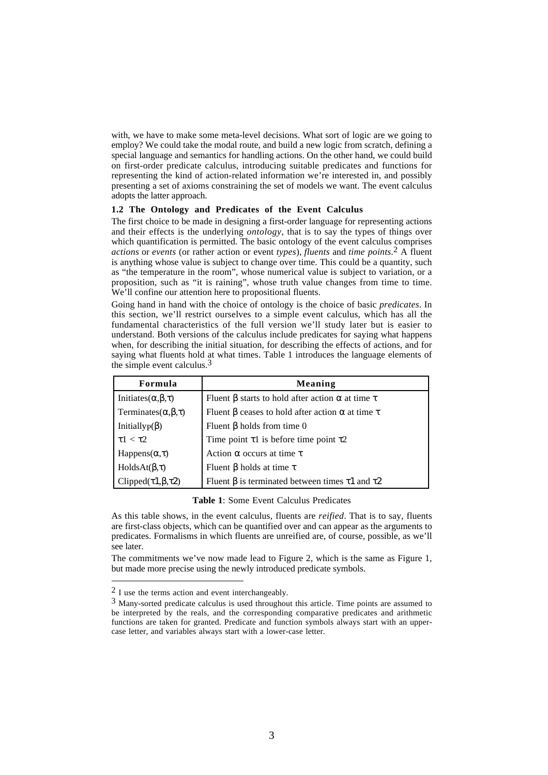with, we have to make some meta-level decisions. What sort of logic are we going to employ? We could take the modal route, and build a new logic from scratch, defining a special language and semantics for handling actions. On the other hand, we could build on first-order predicate calculus, introducing suitable predicates and functions for representing the kind of action-related information we're interested in, and possibly presenting a set of axioms constraining the set of models we want. The event calculus adopts the latter approach.

# **1.2 The Ontology and Predicates of the Event Calculus**

The first choice to be made in designing a first-order language for representing actions and their effects is the underlying *ontology*, that is to say the types of things over which quantification is permitted. The basic ontology of the event calculus comprises *actions* or *events* (or rather action or event *types*), *fluents* and *time points*. <sup>2</sup> A fluent is anything whose value is subject to change over time. This could be a quantity, such as "the temperature in the room", whose numerical value is subject to variation, or a proposition, such as "it is raining", whose truth value changes from time to time. We'll confine our attention here to propositional fluents.

Going hand in hand with the choice of ontology is the choice of basic *predicates*. In this section, we'll restrict ourselves to a simple event calculus, which has all the fundamental characteristics of the full version we'll study later but is easier to understand. Both versions of the calculus include predicates for saying what happens when, for describing the initial situation, for describing the effects of actions, and for saying what fluents hold at what times. Table 1 introduces the language elements of the simple event calculus. $3$ 

| Formula                            | Meaning                                                            |
|------------------------------------|--------------------------------------------------------------------|
| Initiates $(\alpha, \beta, \tau)$  | Fluent $\beta$ starts to hold after action $\alpha$ at time $\tau$ |
| Terminates $(\alpha, \beta, \tau)$ | Fluent $\beta$ ceases to hold after action $\alpha$ at time $\tau$ |
| Initially $p(\beta)$               | Fluent $\beta$ holds from time 0                                   |
| $\tau$ 1 < $\tau$ 2                | Time point $\tau$ 1 is before time point $\tau$ 2                  |
| Happens $(\alpha, \tau)$           | Action $\alpha$ occurs at time $\tau$                              |
| HoldsAt $(\beta, \tau)$            | Fluent β holds at time $τ$                                         |
| Clipped $(\tau1,\beta,\tau2)$      | Fluent $\beta$ is terminated between times $\tau$ 1 and $\tau$ 2   |

**Table 1**: Some Event Calculus Predicates

As this table shows, in the event calculus, fluents are *reified*. That is to say, fluents are first-class objects, which can be quantified over and can appear as the arguments to predicates. Formalisms in which fluents are unreified are, of course, possible, as we'll see later.

The commitments we've now made lead to Figure 2, which is the same as Figure 1, but made more precise using the newly introduced predicate symbols.

<sup>2</sup> I use the terms action and event interchangeably.

<sup>3</sup> Many-sorted predicate calculus is used throughout this article. Time points are assumed to be interpreted by the reals, and the corresponding comparative predicates and arithmetic functions are taken for granted. Predicate and function symbols always start with an uppercase letter, and variables always start with a lower-case letter.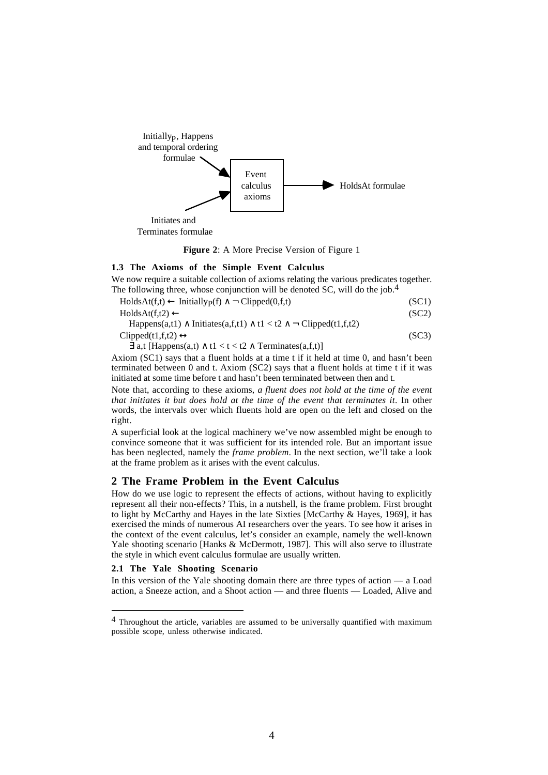

**Figure 2**: A More Precise Version of Figure 1

#### **1.3 The Axioms of the Simple Event Calculus**

We now require a suitable collection of axioms relating the various predicates together. The following three, whose conjunction will be denoted SC, will do the job.<sup>4</sup>

| $HoldsAt(f,t) \leftarrow Initiallyp(f) \wedge \neg Clipped(0,f,t)$ | (SC1) |
|--------------------------------------------------------------------|-------|
| $HoldeAt(f t^2) \nightharpoonup$                                   | (SC2) |

| $\frac{1}{2}$                                                                           | $\sim$ |
|-----------------------------------------------------------------------------------------|--------|
| Happens(a,t1) $\land$ Initiates(a,f,t1) $\land$ t1 < t2 $\land$ $\neg$ Clipped(t1,f,t2) |        |

 $Clipped(t1,f,t2) \leftrightarrow$  (SC3)

 $\exists$  a,t [Happens(a,t)  $\land$  t1 < t < t2  $\land$  Terminates(a,f,t)]

Axiom (SC1) says that a fluent holds at a time t if it held at time 0, and hasn't been terminated between 0 and t. Axiom (SC2) says that a fluent holds at time t if it was initiated at some time before t and hasn't been terminated between then and t.

Note that, according to these axioms, *a fluent does not hold at the time of the event that initiates it but does hold at the time of the event that terminates it*. In other words, the intervals over which fluents hold are open on the left and closed on the right.

A superficial look at the logical machinery we've now assembled might be enough to convince someone that it was sufficient for its intended role. But an important issue has been neglected, namely the *frame problem*. In the next section, we'll take a look at the frame problem as it arises with the event calculus.

# **2 The Frame Problem in the Event Calculus**

How do we use logic to represent the effects of actions, without having to explicitly represent all their non-effects? This, in a nutshell, is the frame problem. First brought to light by McCarthy and Hayes in the late Sixties [McCarthy & Hayes, 1969], it has exercised the minds of numerous AI researchers over the years. To see how it arises in the context of the event calculus, let's consider an example, namely the well-known Yale shooting scenario [Hanks & McDermott, 1987]. This will also serve to illustrate the style in which event calculus formulae are usually written.

# **2.1 The Yale Shooting Scenario**

In this version of the Yale shooting domain there are three types of action — a Load action, a Sneeze action, and a Shoot action — and three fluents — Loaded, Alive and

<sup>4</sup> Throughout the article, variables are assumed to be universally quantified with maximum possible scope, unless otherwise indicated.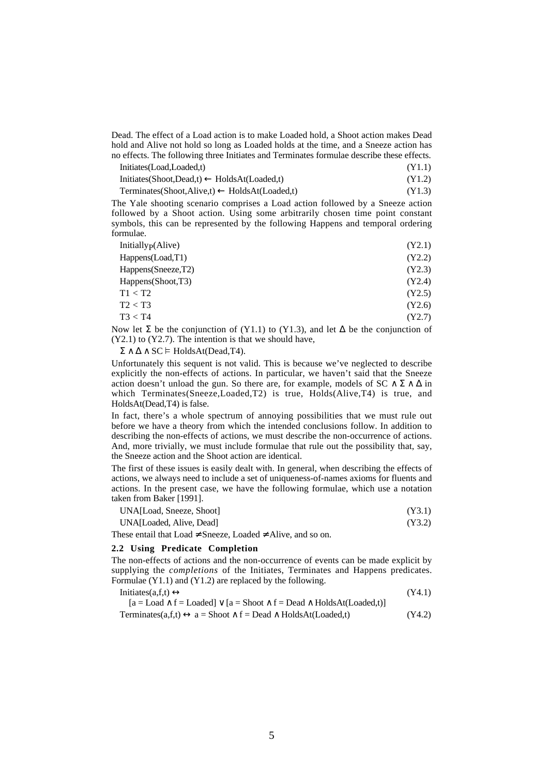Dead. The effect of a Load action is to make Loaded hold, a Shoot action makes Dead hold and Alive not hold so long as Loaded holds at the time, and a Sneeze action has no effects. The following three Initiates and Terminates formulae describe these effects.

| Initiates(Load,Loaded,t)                                    | (Y1.1) |
|-------------------------------------------------------------|--------|
| Initiates(Shoot,Dead,t) $\leftarrow$ HoldsAt(Loaded,t)      | (Y1.2) |
| $Terminates(Shoot, Alice, t) \leftarrow HoldsAt(Loaded, t)$ | (Y1.3) |

The Yale shooting scenario comprises a Load action followed by a Sneeze action followed by a Shoot action. Using some arbitrarily chosen time point constant symbols, this can be represented by the following Happens and temporal ordering formulae.

| Initially <sub>P</sub> (Alive) | (Y2.1) |
|--------------------------------|--------|
| Happens(Load,T1)               | (Y2.2) |
| Happens(Sneeze,T2)             | (Y2.3) |
| Happens(Shoot,T3)              | (Y2.4) |
| T1 < T2                        | (Y2.5) |
| T2 < T3                        | (Y2.6) |
| T3 < T4                        | (Y2.7) |
|                                |        |

Now let  $\Sigma$  be the conjunction of (Y1.1) to (Y1.3), and let  $\Delta$  be the conjunction of (Y2.1) to (Y2.7). The intention is that we should have,

 $\Sigma \wedge \Delta \wedge SC \models$  HoldsAt(Dead,T4).

Unfortunately this sequent is not valid. This is because we've neglected to describe explicitly the non-effects of actions. In particular, we haven't said that the Sneeze action doesn't unload the gun. So there are, for example, models of SC  $\land \Sigma \land \Delta$  in which Terminates(Sneeze,Loaded,T2) is true, Holds(Alive,T4) is true, and HoldsAt(Dead,T4) is false.

In fact, there's a whole spectrum of annoying possibilities that we must rule out before we have a theory from which the intended conclusions follow. In addition to describing the non-effects of actions, we must describe the non-occurrence of actions. And, more trivially, we must include formulae that rule out the possibility that, say, the Sneeze action and the Shoot action are identical.

The first of these issues is easily dealt with. In general, when describing the effects of actions, we always need to include a set of uniqueness-of-names axioms for fluents and actions. In the present case, we have the following formulae, which use a notation taken from Baker [1991].

| UNA[Load, Sneeze, Shoot]             | (Y3.1) |
|--------------------------------------|--------|
| UNA <sub>[Loaded, Alive, Dead]</sub> | (Y3.2) |

These entail that Load  $\neq$  Sneeze, Loaded  $\neq$  Alive, and so on.

# **2.2 Using Predicate Completion**

The non-effects of actions and the non-occurrence of events can be made explicit by supplying the *completions* of the Initiates, Terminates and Happens predicates. Formulae (Y1.1) and (Y1.2) are replaced by the following.

Initiates(a,f,t)  $\leftrightarrow$  (Y4.1)

| $[a = Load \land f = Loaded] \lor [a = Show \land f = Dead \land HoldsAt(Loaded, t)]$    |        |
|------------------------------------------------------------------------------------------|--------|
| Terminates(a,f,t) $\leftrightarrow$ a = Shoot $\land$ f = Dead $\land$ HoldsAt(Loaded,t) | (Y4.2) |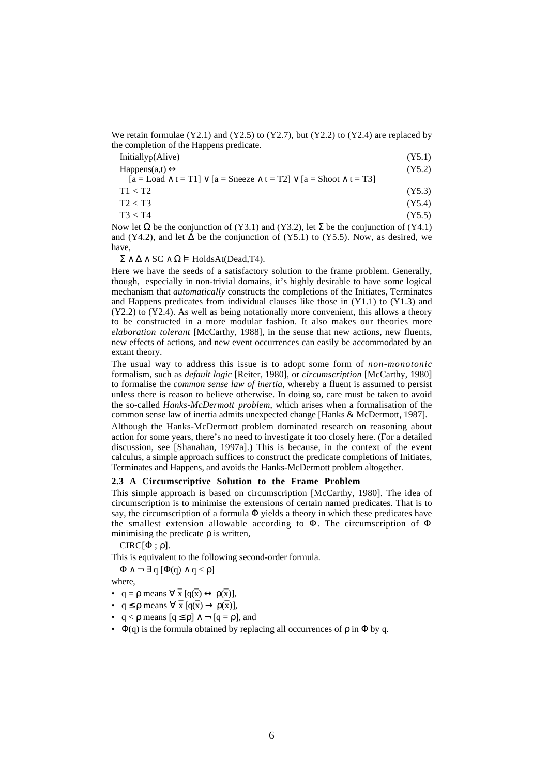We retain formulae  $(Y2.1)$  and  $(Y2.5)$  to  $(Y2.7)$ , but  $(Y2.2)$  to  $(Y2.4)$  are replaced by the completion of the Happens predicate.

| Initially <sub>p</sub> (Alive)                                                            | (Y5.1) |
|-------------------------------------------------------------------------------------------|--------|
| $Happens(a,t) \leftrightarrow$                                                            | (Y5.2) |
| $[a = Load \wedge t = T1] \vee [a = Sheeze \wedge t = T2] \vee [a = Shoot \wedge t = T3]$ |        |
| T1 < T2                                                                                   | (Y5.3) |
| T2 < T3                                                                                   | (Y5.4) |
| T3 < T4                                                                                   | (Y5.5) |

Now let  $\Omega$  be the conjunction of (Y3.1) and (Y3.2), let  $\Sigma$  be the conjunction of (Y4.1) and (Y4.2), and let  $\Delta$  be the conjunction of (Y5.1) to (Y5.5). Now, as desired, we have,

 $\Sigma \wedge \Delta \wedge SC \wedge \Omega \models$  HoldsAt(Dead,T4).

Here we have the seeds of a satisfactory solution to the frame problem. Generally, though, especially in non-trivial domains, it's highly desirable to have some logical mechanism that *automatically* constructs the completions of the Initiates, Terminates and Happens predicates from individual clauses like those in (Y1.1) to (Y1.3) and (Y2.2) to (Y2.4). As well as being notationally more convenient, this allows a theory to be constructed in a more modular fashion. It also makes our theories more *elaboration tolerant* [McCarthy, 1988], in the sense that new actions, new fluents, new effects of actions, and new event occurrences can easily be accommodated by an extant theory.

The usual way to address this issue is to adopt some form of *non-monotonic* formalism, such as *default logic* [Reiter, 1980], or *circumscription* [McCarthy, 1980] to formalise the *common sense law of inertia*, whereby a fluent is assumed to persist unless there is reason to believe otherwise. In doing so, care must be taken to avoid the so-called *Hanks-McDermott problem*, which arises when a formalisation of the common sense law of inertia admits unexpected change [Hanks & McDermott, 1987].

Although the Hanks-McDermott problem dominated research on reasoning about action for some years, there's no need to investigate it too closely here. (For a detailed discussion, see [Shanahan, 1997a].) This is because, in the context of the event calculus, a simple approach suffices to construct the predicate completions of Initiates, Terminates and Happens, and avoids the Hanks-McDermott problem altogether.

#### **2.3 A Circumscriptive Solution to the Frame Problem**

This simple approach is based on circumscription [McCarthy, 1980]. The idea of circumscription is to minimise the extensions of certain named predicates. That is to say, the circumscription of a formula  $\Phi$  yields a theory in which these predicates have the smallest extension allowable according to Φ. The circumscription of Φ minimising the predicate  $\rho$  is written,

 $CIRC[\Phi : \rho]$ .

This is equivalent to the following second-order formula.

 $\Phi \wedge \neg \exists q [\Phi(q) \wedge q \leq \rho]$ 

where,

- q = ρ means  $\forall \overline{x}$  [q( $\overline{x}$ )  $\leftrightarrow$   $\rho(\overline{x})$ ],
- $q \leq \rho$  means  $\forall \bar{x} [q(\bar{x}) \rightarrow \rho(\bar{x})],$
- q <  $\rho$  means  $[q \leq \rho] \land \neg [q = \rho]$ , and
- $\Phi(q)$  is the formula obtained by replacing all occurrences of  $\rho$  in  $\Phi$  by q.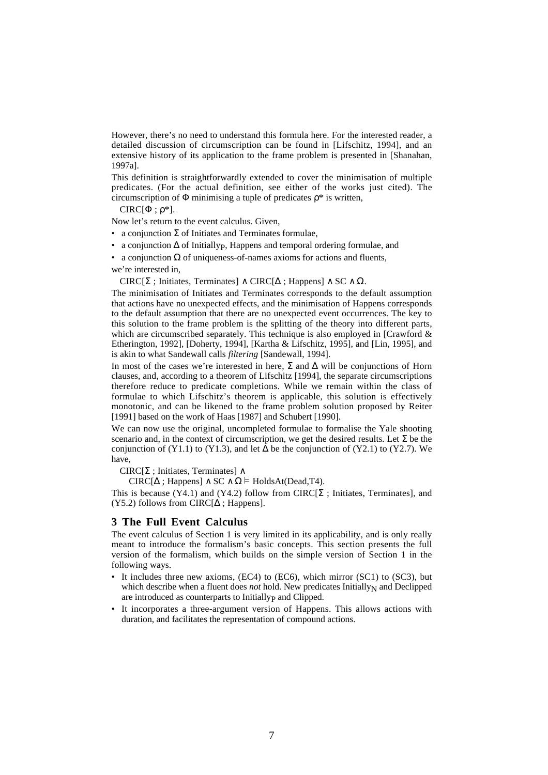However, there's no need to understand this formula here. For the interested reader, a detailed discussion of circumscription can be found in [Lifschitz, 1994], and an extensive history of its application to the frame problem is presented in [Shanahan, 1997a].

This definition is straightforwardly extended to cover the minimisation of multiple predicates. (For the actual definition, see either of the works just cited). The circumscription of  $\Phi$  minimising a tuple of predicates  $\rho^*$  is written,

CIRC[Φ ; ρ\*].

Now let's return to the event calculus. Given,

- a conjunction  $\Sigma$  of Initiates and Terminates formulae,
- a conjunction ∆ of Initially<sup>P</sup>, Happens and temporal ordering formulae, and

• a conjunction  $\Omega$  of uniqueness-of-names axioms for actions and fluents,

we're interested in,

CIRC[ $\Sigma$ ; Initiates, Terminates]  $\wedge$  CIRC[ $\Delta$ ; Happens]  $\wedge$  SC  $\wedge$   $\Omega$ .

The minimisation of Initiates and Terminates corresponds to the default assumption that actions have no unexpected effects, and the minimisation of Happens corresponds to the default assumption that there are no unexpected event occurrences. The key to this solution to the frame problem is the splitting of the theory into different parts, which are circumscribed separately. This technique is also employed in [Crawford  $\&$ Etherington, 1992], [Doherty, 1994], [Kartha & Lifschitz, 1995], and [Lin, 1995], and is akin to what Sandewall calls *filtering* [Sandewall, 1994].

In most of the cases we're interested in here,  $\Sigma$  and  $\Delta$  will be conjunctions of Horn clauses, and, according to a theorem of Lifschitz [1994], the separate circumscriptions therefore reduce to predicate completions. While we remain within the class of formulae to which Lifschitz's theorem is applicable, this solution is effectively monotonic, and can be likened to the frame problem solution proposed by Reiter [1991] based on the work of Haas [1987] and Schubert [1990].

We can now use the original, uncompleted formulae to formalise the Yale shooting scenario and, in the context of circumscription, we get the desired results. Let  $\Sigma$  be the conjunction of (Y1.1) to (Y1.3), and let  $\Delta$  be the conjunction of (Y2.1) to (Y2.7). We have,

CIRC[Σ ; Initiates, Terminates] <sup>∧</sup>

 $CIRC[\Delta$ ; Happens]  $\wedge$  SC  $\wedge$  Ω  $\models$  HoldsAt(Dead,T4).

This is because (Y4.1) and (Y4.2) follow from CIRC[ $\Sigma$ ; Initiates, Terminates], and  $(Y5.2)$  follows from CIRC[ $\Delta$ ; Happens].

## **3 The Full Event Calculus**

The event calculus of Section 1 is very limited in its applicability, and is only really meant to introduce the formalism's basic concepts. This section presents the full version of the formalism, which builds on the simple version of Section 1 in the following ways.

- • It includes three new axioms, (EC4) to (EC6), which mirror (SC1) to (SC3), but which describe when a fluent does *not* hold. New predicates Initially<sub>N</sub> and Declipped are introduced as counterparts to Initiallyp and Clipped.
- • It incorporates a three-argument version of Happens. This allows actions with duration, and facilitates the representation of compound actions.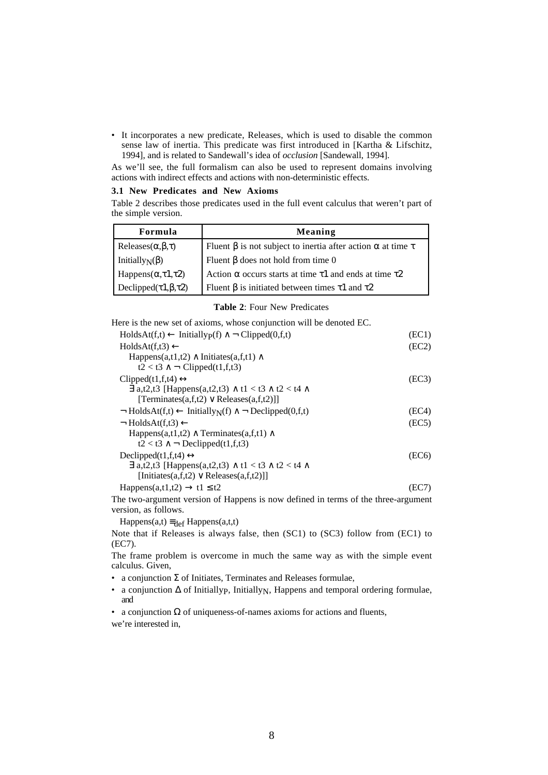• It incorporates a new predicate, Releases, which is used to disable the common sense law of inertia. This predicate was first introduced in [Kartha & Lifschitz, 1994], and is related to Sandewall's idea of *occlusion* [Sandewall, 1994].

As we'll see, the full formalism can also be used to represent domains involving actions with indirect effects and actions with non-deterministic effects.

## **3.1 New Predicates and New Axioms**

Table 2 describes those predicates used in the full event calculus that weren't part of the simple version.

| Formula                                 | Meaning                                                                       |
|-----------------------------------------|-------------------------------------------------------------------------------|
| Releases $(\alpha, \beta, \tau)$        | Fluent $\beta$ is not subject to inertia after action $\alpha$ at time $\tau$ |
| Initially <sub>N</sub> $(\beta)$        | Fluent $\beta$ does not hold from time 0                                      |
| Happens( $\alpha$ , $\tau$ 1, $\tau$ 2) | Action $\alpha$ occurs starts at time $\tau$ 1 and ends at time $\tau$ 2      |
| Declipped $(\tau_1, \beta, \tau_2)$     | Fluent $\beta$ is initiated between times $\tau$ 1 and $\tau$ 2               |

**Table 2**: Four New Predicates

| Here is the new set of axioms, whose conjunction will be denoted EC.                      |       |
|-------------------------------------------------------------------------------------------|-------|
| $HoldsAt(f,t) \leftarrow \text{Initiallyp}(f) \wedge \neg \text{ Clipped}(0,f,t)$         | (EC1) |
| $HoldsAt(f,t3) \leftarrow$                                                                | (EC2) |
| Happens(a,t1,t2) $\land$ Initiates(a,f,t1) $\land$                                        |       |
| $t2 < t3 \land \neg$ Clipped(t1,f,t3)                                                     |       |
| $Clipped(t1,f,t4) \leftrightarrow$                                                        | (EC3) |
| $\exists$ a,t2,t3 [Happens(a,t2,t3) $\land$ t1 < t3 $\land$ t2 < t4 $\land$               |       |
| [Terminates(a,f,t2) $\vee$ Releases(a,f,t2)]]                                             |       |
| $\neg$ HoldsAt(f,t) $\leftarrow$ Initially <sub>N</sub> (f) $\land \neg$ Declipped(0,f,t) | (EC4) |
| $\rightarrow$ HoldsAt(f,t3) $\leftarrow$                                                  | (EC5) |
| Happens(a,t1,t2) $\land$ Terminates(a,f,t1) $\land$                                       |       |
| $t2 < t3 \land \neg$ Declipped(t1,f,t3)                                                   |       |
| Declipped(t1, f, t4) $\leftrightarrow$                                                    | (EC6) |
| $\exists$ a,t2,t3 [Happens(a,t2,t3) $\land$ t1 < t3 $\land$ t2 < t4 $\land$               |       |
| [Initiates(a,f,t2) $\vee$ Releases(a,f,t2)]]                                              |       |
| Happens(a,t1,t2) $\rightarrow$ t1 $\leq$ t2                                               | (EC7) |

The two-argument version of Happens is now defined in terms of the three-argument version, as follows.

Happens(a,t) ≡<sub>def</sub> Happens(a,t,t)

Note that if Releases is always false, then (SC1) to (SC3) follow from (EC1) to (EC7).

The frame problem is overcome in much the same way as with the simple event calculus. Given,

• a conjunction  $\Sigma$  of Initiates, Terminates and Releases formulae,

• a conjunction  $\Delta$  of Initiallyp, Initiallyp, Happens and temporal ordering formulae, and

• a conjunction  $\Omega$  of uniqueness-of-names axioms for actions and fluents, we're interested in,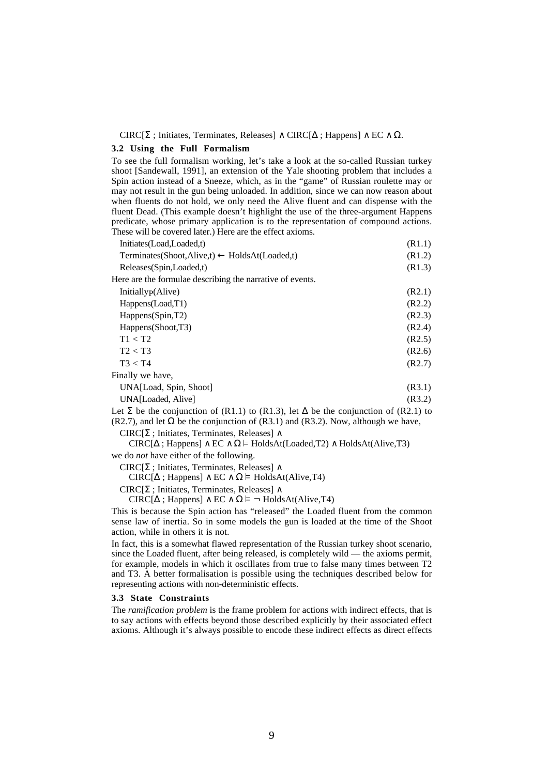CIRC[ $\Sigma$ ; Initiates, Terminates, Releases] ∧ CIRC[ $\Delta$ ; Happens] ∧ EC ∧  $\Omega$ .

#### **3.2 Using the Full Formalism**

To see the full formalism working, let's take a look at the so-called Russian turkey shoot [Sandewall, 1991], an extension of the Yale shooting problem that includes a Spin action instead of a Sneeze, which, as in the "game" of Russian roulette may or may not result in the gun being unloaded. In addition, since we can now reason about when fluents do not hold, we only need the Alive fluent and can dispense with the fluent Dead. (This example doesn't highlight the use of the three-argument Happens predicate, whose primary application is to the representation of compound actions. These will be covered later.) Here are the effect axioms.

| Initiates(Load,Loaded,t)                                    | (R1.1) |
|-------------------------------------------------------------|--------|
| $Terminates(Shoot, Alice, t) \leftarrow HoldsAt(Loaded, t)$ | (R1.2) |
| Releases(Spin,Loaded,t)                                     | (R1.3) |
| Here are the formulae describing the narrative of events.   |        |
| Initially <sub>p</sub> (Alive)                              | (R2.1) |
| Happens(Load, T1)                                           | (R2.2) |
| Happens(Spin,T2)                                            | (R2.3) |
| Happens(Shoot,T3)                                           | (R2.4) |
| T1 < T2                                                     | (R2.5) |
| T2 < T3                                                     | (R2.6) |
| T3 < T4                                                     | (R2.7) |
| Finally we have,                                            |        |
| UNA[Load, Spin, Shoot]                                      | (R3.1) |
| UNA[Loaded, Alive]                                          | (R3.2) |

Let  $\Sigma$  be the conjunction of (R1.1) to (R1.3), let  $\Delta$  be the conjunction of (R2.1) to (R2.7), and let  $\Omega$  be the conjunction of (R3.1) and (R3.2). Now, although we have,

CIRC[Σ ; Initiates, Terminates, Releases] <sup>∧</sup>

CIRC[ $\Delta$ ; Happens]  $\land$  EC  $\land$   $\Omega \models$  HoldsAt(Loaded,T2)  $\land$  HoldsAt(Alive,T3)

we do *not* have either of the following.

CIRC[Σ ; Initiates, Terminates, Releases] <sup>∧</sup>

 $CIRC[\Delta$ ; Happens]  $\wedge EC \wedge \Omega \models$  HoldsAt(Alive,T4)

CIRC[Σ ; Initiates, Terminates, Releases] <sup>∧</sup>

 $CIRC[\Delta$ ; Happens]  $\wedge$  EC  $\wedge$  Ω  $\models \neg$  HoldsAt(Alive,T4)

This is because the Spin action has "released" the Loaded fluent from the common sense law of inertia. So in some models the gun is loaded at the time of the Shoot action, while in others it is not.

In fact, this is a somewhat flawed representation of the Russian turkey shoot scenario, since the Loaded fluent, after being released, is completely wild — the axioms permit, for example, models in which it oscillates from true to false many times between T2 and T3. A better formalisation is possible using the techniques described below for representing actions with non-deterministic effects.

#### **3.3 State Constraints**

The *ramification problem* is the frame problem for actions with indirect effects, that is to say actions with effects beyond those described explicitly by their associated effect axioms. Although it's always possible to encode these indirect effects as direct effects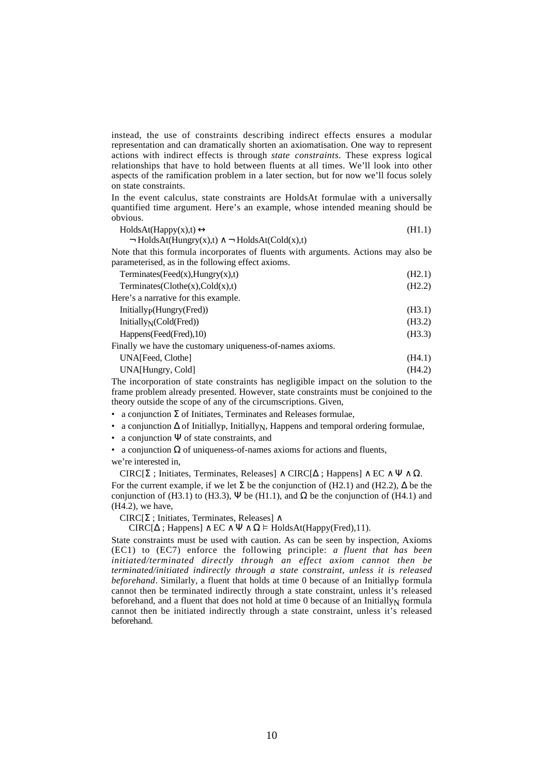instead, the use of constraints describing indirect effects ensures a modular representation and can dramatically shorten an axiomatisation. One way to represent actions with indirect effects is through *state constraints*. These express logical relationships that have to hold between fluents at all times. We'll look into other aspects of the ramification problem in a later section, but for now we'll focus solely on state constraints.

In the event calculus, state constraints are HoldsAt formulae with a universally quantified time argument. Here's an example, whose intended meaning should be obvious.

| $HoldsAt(Happy(x),t) \leftrightarrow$                         | (H1.1) |
|---------------------------------------------------------------|--------|
| $\lnot$ HoldsAt(Hungry(x),t) $\land \lnot$ HoldsAt(Cold(x),t) |        |

Note that this formula incorporates of fluents with arguments. Actions may also be parameterised, as in the following effect axioms.

| Terminates(Feed(x), Hungry(x),t)                          | (H2.1) |
|-----------------------------------------------------------|--------|
| Terminates(Clothe(x), Cold(x),t)                          | (H2.2) |
| Here's a narrative for this example.                      |        |
| Initially <sub>p</sub> (Hungry(Fred))                     | (H3.1) |
| $Initially_N(Cold(Fred))$                                 | (H3.2) |
| Happens (Feed (Fred), 10)                                 | (H3.3) |
| Finally we have the customary uniqueness-of-names axioms. |        |
|                                                           |        |

| UNA[Feed, Clothe] | (H4.1) |
|-------------------|--------|
| UNA[Hungry, Cold] | (H4.2) |

The incorporation of state constraints has negligible impact on the solution to the frame problem already presented. However, state constraints must be conjoined to the theory outside the scope of any of the circumscriptions. Given,

- a conjunction  $\Sigma$  of Initiates, Terminates and Releases formulae,
- a conjunction  $\Delta$  of Initiallyp, Initially<sub>N</sub>, Happens and temporal ordering formulae,
- a conjunction Ψ of state constraints, and
- a conjunction  $\Omega$  of uniqueness-of-names axioms for actions and fluents,

we're interested in,

CIRC[ $\Sigma$ ; Initiates, Terminates, Releases] ∧ CIRC[ $\Delta$ ; Happens] ∧ EC ∧  $\Psi \wedge \Omega$ . For the current example, if we let  $\Sigma$  be the conjunction of (H2.1) and (H2.2),  $\Delta$  be the conjunction of (H3.1) to (H3.3), Ψ be (H1.1), and  $\Omega$  be the conjunction of (H4.1) and (H4.2), we have,

CIRC[Σ ; Initiates, Terminates, Releases] <sup>∧</sup>

CIRC[ $\Delta$ ; Happens]  $\wedge$  EC  $\wedge$   $\Psi \wedge \Omega$   $\models$  HoldsAt(Happy(Fred),11).

State constraints must be used with caution. As can be seen by inspection, Axioms (EC1) to (EC7) enforce the following principle: *a fluent that has been initiated/terminated directly through an effect axiom cannot then be terminated/initiated indirectly through a state constraint, unless it is released beforehand*. Similarly, a fluent that holds at time 0 because of an Initiallyp formula cannot then be terminated indirectly through a state constraint, unless it's released beforehand, and a fluent that does not hold at time  $0$  because of an Initially<sub>N</sub> formula cannot then be initiated indirectly through a state constraint, unless it's released beforehand.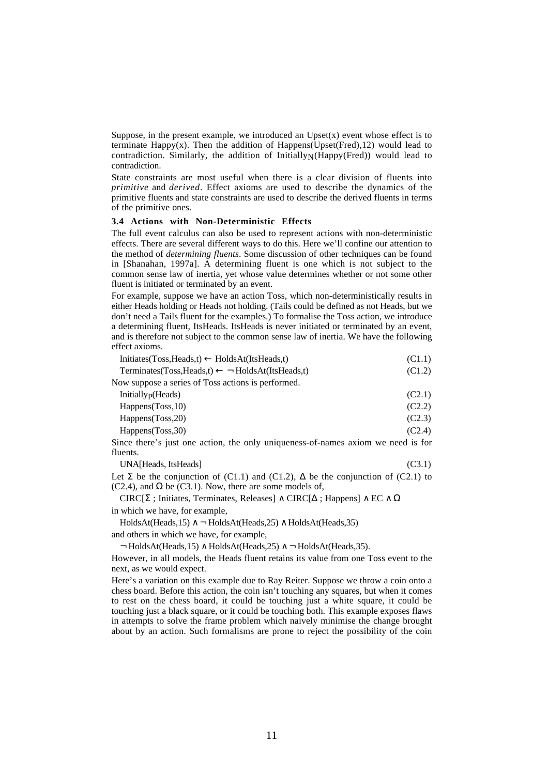Suppose, in the present example, we introduced an  $Upset(x)$  event whose effect is to terminate Happy(x). Then the addition of Happens(Upset(Fred), 12) would lead to contradiction. Similarly, the addition of Initially $_N$ (Happy(Fred)) would lead to contradiction.

State constraints are most useful when there is a clear division of fluents into *primitive* and *derived*. Effect axioms are used to describe the dynamics of the primitive fluents and state constraints are used to describe the derived fluents in terms of the primitive ones.

## **3.4 Actions with Non-Deterministic Effects**

The full event calculus can also be used to represent actions with non-deterministic effects. There are several different ways to do this. Here we'll confine our attention to the method of *determining fluents*. Some discussion of other techniques can be found in [Shanahan, 1997a]. A determining fluent is one which is not subject to the common sense law of inertia, yet whose value determines whether or not some other fluent is initiated or terminated by an event.

For example, suppose we have an action Toss, which non-deterministically results in either Heads holding or Heads not holding. (Tails could be defined as not Heads, but we don't need a Tails fluent for the examples.) To formalise the Toss action, we introduce a determining fluent, ItsHeads. ItsHeads is never initiated or terminated by an event, and is therefore not subject to the common sense law of inertia. We have the following effect axioms.

| Initiates(Toss, Heads, t) $\leftarrow$ HoldsAt(ItsHeads, t)       | (C1.1) |
|-------------------------------------------------------------------|--------|
| Terminates(Toss, Heads, t) $\leftarrow \neg$ HoldsAt(ItsHeads, t) | (C1.2) |
| Now suppose a series of Toss actions is performed.                |        |
| Initially <sub>p</sub> (Heads)                                    | (C2.1) |
| Happens(Toss,10)                                                  | (C2.2) |
| Happens(Toss, 20)                                                 | (C2.3) |
| Happens(Toss, 30)                                                 | (C2.4) |
|                                                                   |        |

Since there's just one action, the only uniqueness-of-names axiom we need is for fluents.

UNA[Heads, ItsHeads] (C3.1)

Let  $\Sigma$  be the conjunction of (C1.1) and (C1.2),  $\Delta$  be the conjunction of (C2.1) to (C2.4), and  $\Omega$  be (C3.1). Now, there are some models of,

CIRC[ $\Sigma$ ; Initiates, Terminates, Releases] ∧ CIRC[ $\Delta$ ; Happens] ∧ EC ∧  $\Omega$ in which we have, for example,

HoldsAt(Heads,15)  $\land$  → HoldsAt(Heads,25)  $\land$  HoldsAt(Heads,35)

and others in which we have, for example,

<sup>¬</sup> HoldsAt(Heads,15) ∧ HoldsAt(Heads,25) ∧ ¬ HoldsAt(Heads,35).

However, in all models, the Heads fluent retains its value from one Toss event to the next, as we would expect.

Here's a variation on this example due to Ray Reiter. Suppose we throw a coin onto a chess board. Before this action, the coin isn't touching any squares, but when it comes to rest on the chess board, it could be touching just a white square, it could be touching just a black square, or it could be touching both. This example exposes flaws in attempts to solve the frame problem which naively minimise the change brought about by an action. Such formalisms are prone to reject the possibility of the coin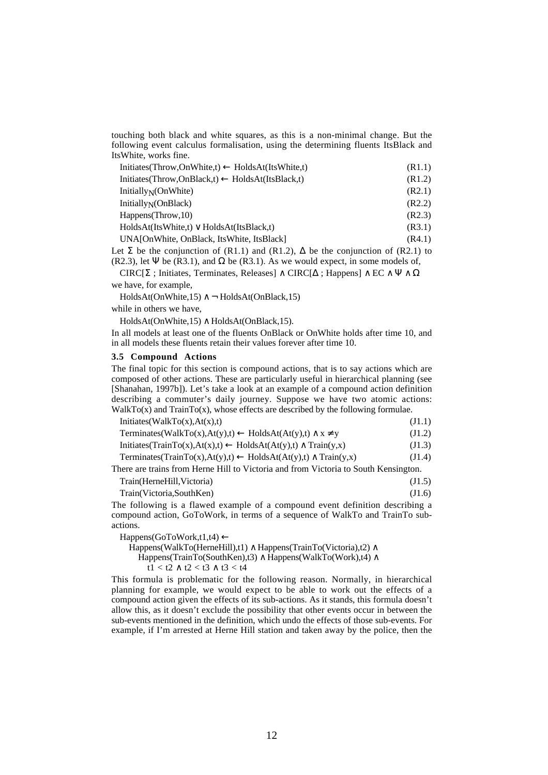touching both black and white squares, as this is a non-minimal change. But the following event calculus formalisation, using the determining fluents ItsBlack and ItsWhite, works fine.

| $Initiates(Throw, OnWhite, t) \leftarrow HoldsAt(ItsWhite, t)$ | (R1.1) |
|----------------------------------------------------------------|--------|
| $Initiates(Throw, OnBlack, t) \leftarrow HoldsAt(ItsBlack, t)$ | (R1.2) |
| Initially <sub>N</sub> (OnWhite)                               | (R2.1) |
| Initially <sub>N</sub> (OnBlack)                               | (R2.2) |
| Happens(Throw, 10)                                             | (R2.3) |
| $HoldsAt(ItsWhite,t) \vee HoldsAt(ItsBlack,t)$                 | (R3.1) |
| UNA[OnWhite, OnBlack, ItsWhite, ItsBlack]                      | (R4.1) |
|                                                                |        |

Let  $\Sigma$  be the conjunction of (R1.1) and (R1.2),  $\Delta$  be the conjunction of (R2.1) to (R2.3), let Ψ be (R3.1), and  $\Omega$  be (R3.1). As we would expect, in some models of,

CIRC[ $\Sigma$ ; Initiates, Terminates, Releases] ∧ CIRC[ $\Delta$ ; Happens] ∧ EC ∧  $\Psi \wedge \Omega$ we have, for example,

 $HoldsAt(OnWhite,15) \wedge \neg \text{HoldsAt(OnBlack,15)}$ 

while in others we have,

HoldsAt(OnWhite,15) ∧ HoldsAt(OnBlack,15).

In all models at least one of the fluents OnBlack or OnWhite holds after time 10, and in all models these fluents retain their values forever after time 10.

## **3.5 Compound Actions**

The final topic for this section is compound actions, that is to say actions which are composed of other actions. These are particularly useful in hierarchical planning (see [Shanahan, 1997b]). Let's take a look at an example of a compound action definition describing a commuter's daily journey. Suppose we have two atomic actions:  $WalkTo(x)$  and  $TrainTo(x)$ , whose effects are described by the following formulae.

| Initiates(WalkTo(x), $At(x),t$ )                                                          | (J1.1) |
|-------------------------------------------------------------------------------------------|--------|
| Terminates(WalkTo(x),At(y),t) $\leftarrow$ HoldsAt(At(y),t) $\wedge$ x $\neq$ y           | (J1.2) |
| Initiates(TrainTo(x), $At(x),t$ ) $\leftarrow$ Holds $At(At(y),t) \wedge$ Train(y,x)      | (J1.3) |
| Terminates(TrainTo(x),At(y),t) $\leftarrow$ HoldsAt(At(y),t) $\wedge$ Train(y,x)          | (J1.4) |
| 'haneg eus faciae facar Header Hill fe Wistenie eu d'facar Wistenie fe Gerrff Measingfach |        |

There are trains from Herne Hill to Victoria and from Victoria to South Kensington.

| Train(HerneHill, Victoria) | (J1.5) |
|----------------------------|--------|
| Train(Victoria, South Ken) | (J1.6) |

The following is a flawed example of a compound event definition describing a compound action, GoToWork, in terms of a sequence of WalkTo and TrainTo subactions.

 $Happens(GoToWork, t1, t4) \leftarrow$ 

Happens(WalkTo(HerneHill),t1) ∧ Happens(TrainTo(Victoria),t2) <sup>∧</sup> Happens(TrainTo(SouthKen),t3) ∧ Happens(WalkTo(Work),t4) <sup>∧</sup>

t1 < t2  $\wedge$  t2 < t3  $\wedge$  t3 < t4

This formula is problematic for the following reason. Normally, in hierarchical planning for example, we would expect to be able to work out the effects of a compound action given the effects of its sub-actions. As it stands, this formula doesn't allow this, as it doesn't exclude the possibility that other events occur in between the sub-events mentioned in the definition, which undo the effects of those sub-events. For example, if I'm arrested at Herne Hill station and taken away by the police, then the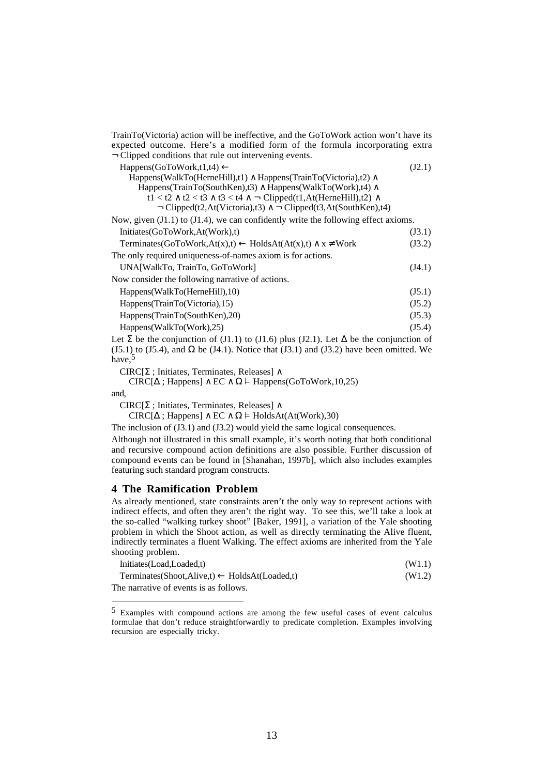TrainTo(Victoria) action will be ineffective, and the GoToWork action won't have its expected outcome. Here's a modified form of the formula incorporating extra  $\overline{\phantom{a}}$  Clipped conditions that rule out intervening events.

| $Happens(GoToWork, t1, t4) \leftarrow$                                                            | (J2.1) |
|---------------------------------------------------------------------------------------------------|--------|
| Happens(WalkTo(HerneHill),t1) $\land$ Happens(TrainTo(Victoria),t2) $\land$                       |        |
| Happens(TrainTo(SouthKen),t3) $\land$ Happens(WalkTo(Work),t4) $\land$                            |        |
| t1 < t2 $\wedge$ t2 < t3 $\wedge$ t3 < t4 $\wedge$ $\neg$ Clipped(t1, At(HerneHill), t2) $\wedge$ |        |
| $\lnot$ Clipped(t2,At(Victoria),t3) $\land \lnot$ Clipped(t3,At(SouthKen),t4)                     |        |
| Now, given $(J1.1)$ to $(J1.4)$ , we can confidently write the following effect axioms.           |        |
| Initiates(GoToWork,At(Work),t)                                                                    | (J3.1) |
| Terminates(GoToWork,At(x),t) $\leftarrow$ HoldsAt(At(x),t) $\wedge$ x $\neq$ Work                 | (J3.2) |
| The only required uniqueness-of-names axiom is for actions.                                       |        |
| UNA [WalkTo, TrainTo, GoToWork]                                                                   | (J4.1) |
| Now consider the following narrative of actions.                                                  |        |
| Happens(WalkTo(HerneHill),10)                                                                     | (J5.1) |
| Happens(TrainTo(Victoria),15)                                                                     | (J5.2) |
| Happens(TrainTo(SouthKen),20)                                                                     | (J5.3) |
| Happens (WalkTo (Work), 25)                                                                       | (J5.4) |
|                                                                                                   |        |

Let  $\Sigma$  be the conjunction of (J1.1) to (J1.6) plus (J2.1). Let  $\Delta$  be the conjunction of (J5.1) to (J5.4), and  $\Omega$  be (J4.1). Notice that (J3.1) and (J3.2) have been omitted. We have, 5

CIRC[Σ ; Initiates, Terminates, Releases] <sup>∧</sup>

CIRC[ $\Delta$ ; Happens]  $\land$  EC  $\land$   $\Omega \models$  Happens(GoToWork, 10,25)

and,

CIRC[Σ ; Initiates, Terminates, Releases] <sup>∧</sup>

CIRC[ $\Delta$ ; Happens]  $\wedge$  EC  $\wedge$   $\Omega$   $\models$  HoldsAt(At(Work),30)

The inclusion of (J3.1) and (J3.2) would yield the same logical consequences.

Although not illustrated in this small example, it's worth noting that both conditional and recursive compound action definitions are also possible. Further discussion of compound events can be found in [Shanahan, 1997b], which also includes examples featuring such standard program constructs.

# **4 The Ramification Problem**

As already mentioned, state constraints aren't the only way to represent actions with indirect effects, and often they aren't the right way. To see this, we'll take a look at the so-called "walking turkey shoot" [Baker, 1991], a variation of the Yale shooting problem in which the Shoot action, as well as directly terminating the Alive fluent, indirectly terminates a fluent Walking. The effect axioms are inherited from the Yale shooting problem.

| Initiates(Load,Loaded,t)                                    | (W1.1) |
|-------------------------------------------------------------|--------|
| $Terminates(Shoot, Alice, t) \leftarrow HoldsAt(Loaded, t)$ | (W1.2) |
| Maa mammaticia af accamta ia aa fallaccia                   |        |

The narrative of events is as follows.

<sup>5</sup> Examples with compound actions are among the few useful cases of event calculus formulae that don't reduce straightforwardly to predicate completion. Examples involving recursion are especially tricky.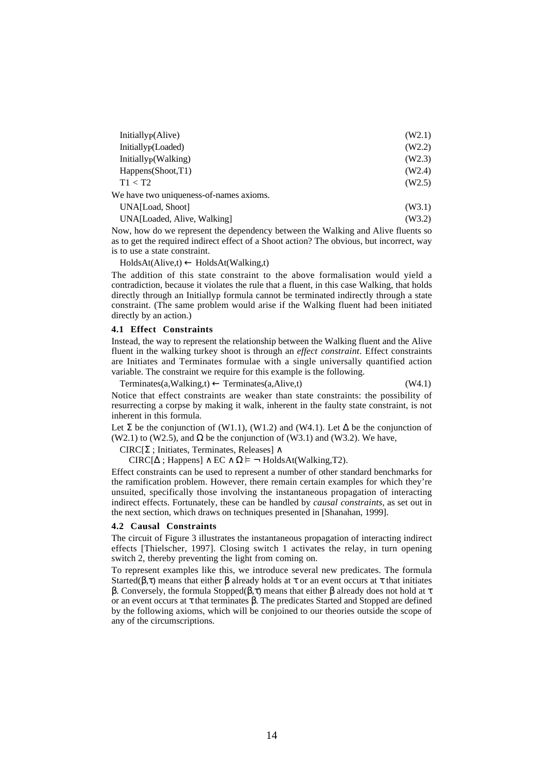| Initially <sub>p</sub> (Alive)          | (W2.1) |
|-----------------------------------------|--------|
| Initially <sub>p</sub> (Loaded)         | (W2.2) |
| Initiallyp(Walking)                     | (W2.3) |
| Happens(Shoot,T1)                       | (W2.4) |
| T1 < T2                                 | (W2.5) |
| We have two uniqueness-of-names axioms. |        |
| UNA[Load, Shoot]                        | (W3.1) |
| UNA[Loaded, Alive, Walking]             | (W3.2) |

Now, how do we represent the dependency between the Walking and Alive fluents so as to get the required indirect effect of a Shoot action? The obvious, but incorrect, way is to use a state constraint.

 $HoldsAt(Alive, t) \leftarrow HoldsAt(Walking, t)$ 

The addition of this state constraint to the above formalisation would yield a contradiction, because it violates the rule that a fluent, in this case Walking, that holds directly through an Initiallyp formula cannot be terminated indirectly through a state constraint. (The same problem would arise if the Walking fluent had been initiated directly by an action.)

#### **4.1 Effect Constraints**

Instead, the way to represent the relationship between the Walking fluent and the Alive fluent in the walking turkey shoot is through an *effect constraint*. Effect constraints are Initiates and Terminates formulae with a single universally quantified action variable. The constraint we require for this example is the following.

 $Terminates(a, Walking, t) \leftarrow Terminates(a, Alive, t)$  (W4.1)

Notice that effect constraints are weaker than state constraints: the possibility of resurrecting a corpse by making it walk, inherent in the faulty state constraint, is not inherent in this formula.

Let  $\Sigma$  be the conjunction of (W1.1), (W1.2) and (W4.1). Let  $\Delta$  be the conjunction of (W2.1) to (W2.5), and  $\Omega$  be the conjunction of (W3.1) and (W3.2). We have,

CIRC[Σ ; Initiates, Terminates, Releases] <sup>∧</sup>

 $CIRC[\Delta$ ; Happens]  $\wedge$  EC  $\wedge$  Ω  $\models \neg$  HoldsAt(Walking,T2).

Effect constraints can be used to represent a number of other standard benchmarks for the ramification problem. However, there remain certain examples for which they're unsuited, specifically those involving the instantaneous propagation of interacting indirect effects. Fortunately, these can be handled by *causal constraints*, as set out in the next section, which draws on techniques presented in [Shanahan, 1999].

#### **4.2 Causal Constraints**

The circuit of Figure 3 illustrates the instantaneous propagation of interacting indirect effects [Thielscher, 1997]. Closing switch 1 activates the relay, in turn opening switch 2, thereby preventing the light from coming on.

To represent examples like this, we introduce several new predicates. The formula Started( $\beta$ ,τ) means that either  $\beta$  already holds at τ or an event occurs at τ that initiates β. Conversely, the formula Stopped(β,<sup>τ</sup>) means that either β already does not hold at <sup>τ</sup> or an event occurs at τ that terminates β. The predicates Started and Stopped are defined by the following axioms, which will be conjoined to our theories outside the scope of any of the circumscriptions.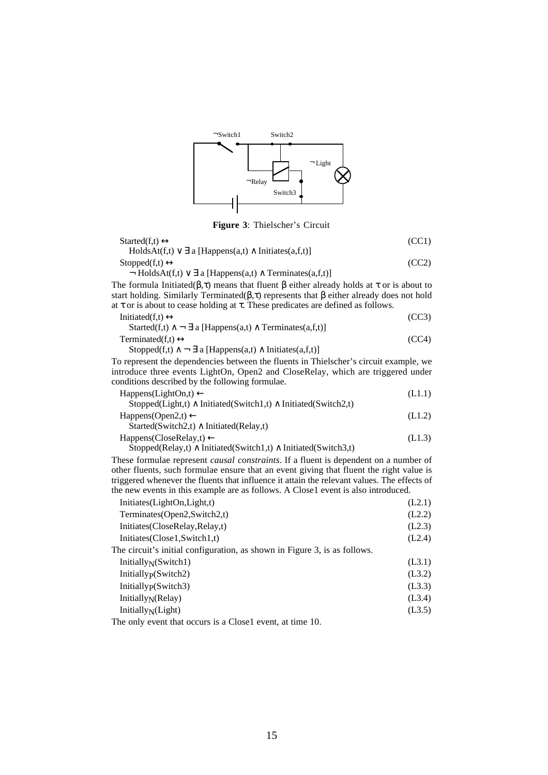

**Figure 3**: Thielscher's Circuit

| $Strategy(f,t) \leftrightarrow$                                      | (CC1) |
|----------------------------------------------------------------------|-------|
| $HoldsAt(f,t) \vee \exists a [Happens(a,t) \wedge Initiates(a,f,t)]$ |       |
| $Stoped(f,t) \leftrightarrow$                                        | (CC2) |

 $\neg$  HoldsAt(f,t)  $\lor \exists$  a [Happens(a,t)  $\land$  Terminates(a,f,t)] The formula Initiated( $β, τ$ ) means that fluent  $β$  either already holds at  $τ$  or is about to start holding. Similarly Terminated(β,<sup>τ</sup>) represents that β either already does not hold

at τ or is about to cease holding at τ. These predicates are defined as follows. Initiated(f, t)  $\leftrightarrow$  (CC3)

| $\text{unitary} \rightarrow \text{1}$                                           | 1 UU J |
|---------------------------------------------------------------------------------|--------|
| Started(f,t) $\land$ $\lnot \exists$ a [Happens(a,t) $\land$ Terminates(a,f,t)] |        |
| Terminated(f.t) $\leftrightarrow$                                               | (CC4)  |
| Stopped(f,t) $\land \neg \exists$ a [Happens(a,t) $\land$ Initiates(a,f,t)]     |        |

To represent the dependencies between the fluents in Thielscher's circuit example, we introduce three events LightOn, Open2 and CloseRelay, which are triggered under conditions described by the following formulae.

| $Happens(LightOn, t) \leftarrow$                                           | (L1.1) |
|----------------------------------------------------------------------------|--------|
| Stopped(Light,t) $\land$ Initiated(Switch1,t) $\land$ Initiated(Switch2,t) |        |
| $Happens(Open2,t) \leftarrow$                                              | (L1.2) |
| Started(Switch2,t) $\land$ Initiated(Relay,t)                              |        |
| $Happens(CloseRelay,t) \leftarrow$                                         | (L1.3) |

Stopped(Relay,t)  $\land$  Initiated(Switch1,t)  $\land$  Initiated(Switch3,t)

These formulae represent *causal constraints*. If a fluent is dependent on a number of other fluents, such formulae ensure that an event giving that fluent the right value is triggered whenever the fluents that influence it attain the relevant values. The effects of the new events in this example are as follows. A Close1 event is also introduced.

| Initiates(LightOn,Light,t)                                                | (L2.1) |
|---------------------------------------------------------------------------|--------|
| Terminates (Open2, Switch2,t)                                             | (L2.2) |
| Initiates (CloseRelay, Relay, t)                                          | (L2.3) |
| Initiates(Close1, Switch1,t)                                              | (L2.4) |
| The circuit's initial configuration, as shown in Figure 3, is as follows. |        |
| Initially $N(Switch1)$                                                    | (L3.1) |
| Initially <sub>p</sub> (Switch2)                                          | (L3.2) |
| Initiallyp(Switch3)                                                       | (L3.3) |
| Initially $N(Relay)$                                                      | (L3.4) |
| $Initially_N(Light)$                                                      | (L3.5) |
| The only great that accuse is a $C_{local}$ great, at time $10$           |        |

The only event that occurs is a Close1 event, at time 10.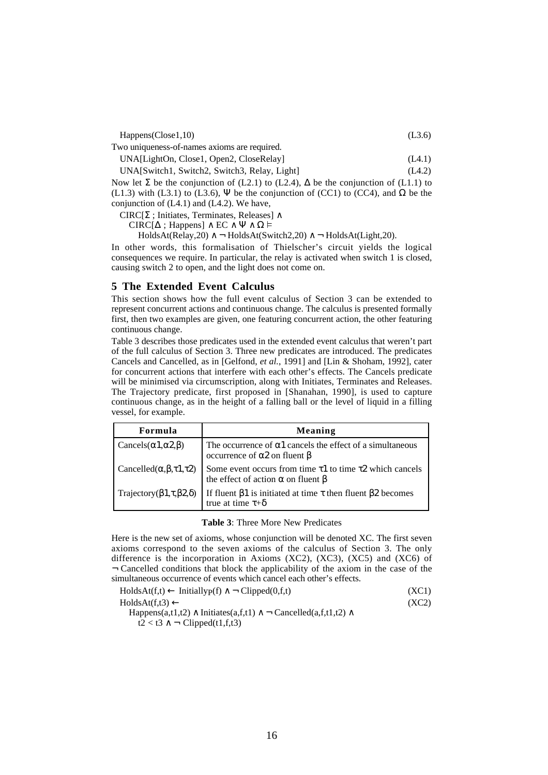| Happens(Close 1, 10)                                                                              | (L3.6) |
|---------------------------------------------------------------------------------------------------|--------|
| Two uniqueness-of-names axioms are required.                                                      |        |
| UNA[LightOn, Close1, Open2, CloseRelay]                                                           | (L4.1) |
| UNA[Switch1, Switch2, Switch3, Relay, Light]                                                      | (L4.2) |
| Now let $\Sigma$ be the conjunction of (L2.1) to (L2.4), $\Delta$ be the conjunction of (L1.1) to |        |
| (L1.3) with (L3.1) to (L3.6), $\Psi$ be the conjunction of (CC1) to (CC4), and $\Omega$ be the    |        |

conjunction of  $(L4.1)$  and  $(L4.2)$ . We have,

CIRC[Σ ; Initiates, Terminates, Releases] <sup>∧</sup>

CIRC[ $\Delta$ ; Happens]  $\wedge$  EC  $\wedge$   $\Psi \wedge \Omega$   $\models$ 

HoldsAt(Relay,20)  $\land$   $\neg$  HoldsAt(Switch2,20)  $\land$   $\neg$  HoldsAt(Light,20).

In other words, this formalisation of Thielscher's circuit yields the logical consequences we require. In particular, the relay is activated when switch 1 is closed, causing switch 2 to open, and the light does not come on.

## **5 The Extended Event Calculus**

This section shows how the full event calculus of Section 3 can be extended to represent concurrent actions and continuous change. The calculus is presented formally first, then two examples are given, one featuring concurrent action, the other featuring continuous change.

Table 3 describes those predicates used in the extended event calculus that weren't part of the full calculus of Section 3. Three new predicates are introduced. The predicates Cancels and Cancelled, as in [Gelfond, *et al.*, 1991] and [Lin & Shoham, 1992], cater for concurrent actions that interfere with each other's effects. The Cancels predicate will be minimised via circumscription, along with Initiates, Terminates and Releases. The Trajectory predicate, first proposed in [Shanahan, 1990], is used to capture continuous change, as in the height of a falling ball or the level of liquid in a filling vessel, for example.

| Formula                                               | Meaning                                                                                                                |
|-------------------------------------------------------|------------------------------------------------------------------------------------------------------------------------|
| Cancels $(\alpha_1, \alpha_2, \beta)$                 | The occurrence of $\alpha$ 1 cancels the effect of a simultaneous<br>occurrence of $\alpha$ 2 on fluent $\beta$        |
| Cancelled( $\alpha, \beta, \tau$ 1, $\tau$ 2)         | Some event occurs from time $\tau$ 1 to time $\tau$ 2 which cancels<br>the effect of action $\alpha$ on fluent $\beta$ |
| Trajectory( $\beta$ 1, $\tau$ , $\beta$ 2, $\delta$ ) | If fluent $\beta$ 1 is initiated at time $\tau$ then fluent $\beta$ 2 becomes<br>true at time $\tau + \delta$          |

**Table 3**: Three More New Predicates

Here is the new set of axioms, whose conjunction will be denoted XC. The first seven axioms correspond to the seven axioms of the calculus of Section 3. The only difference is the incorporation in Axioms (XC2), (XC3), (XC5) and (XC6) of  $\neg$  Cancelled conditions that block the applicability of the axiom in the case of the simultaneous occurrence of events which cancel each other's effects.

| $HoldsAt(f,t) \leftarrow \text{Initiallyp}(f) \wedge \neg \text{ Clipped}(0,f,t)$    | (XC1) |
|--------------------------------------------------------------------------------------|-------|
| $HoldsAt(f,t3) \leftarrow$                                                           | (XC2) |
| Happens(a,t1,t2) $\land$ Initiates(a,f,t1) $\land \neg$ Cancelled(a,f,t1,t2) $\land$ |       |
| $t2 < t3 \land \neg$ Clipped(t1,f,t3)                                                |       |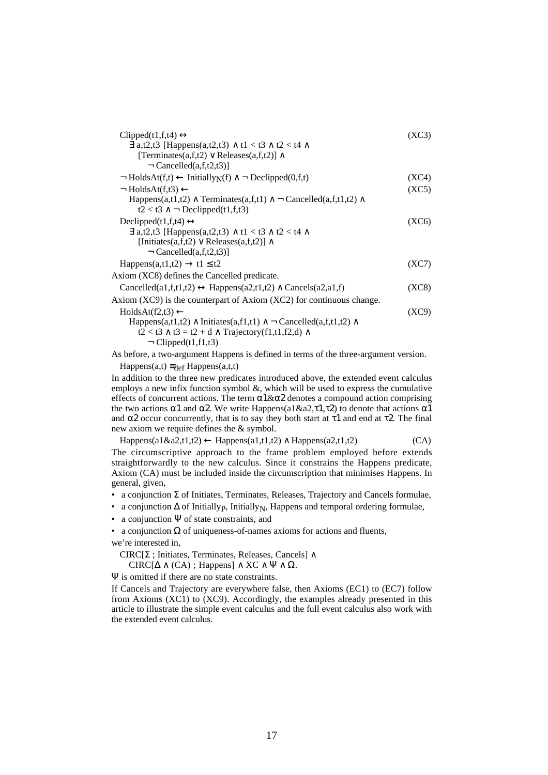| $Clipped(t1,f,t4) \leftrightarrow$                                                        | (XC3) |
|-------------------------------------------------------------------------------------------|-------|
| $\exists$ a,t2,t3 [Happens(a,t2,t3) $\land$ t1 < t3 $\land$ t2 < t4 $\land$               |       |
| [Terminates(a,f,t2) $\vee$ Releases(a,f,t2)] $\wedge$                                     |       |
| $\neg$ Cancelled(a,f,t2,t3)]                                                              |       |
| $\neg$ HoldsAt(f,t) $\leftarrow$ Initially <sub>N</sub> (f) $\land \neg$ Declipped(0,f,t) | (XC4) |
| $\rightarrow$ HoldsAt(f,t3) $\leftarrow$                                                  | (XC5) |
| Happens(a,t1,t2) $\land$ Terminates(a,f,t1) $\land$ $\neg$ Cancelled(a,f,t1,t2) $\land$   |       |
| $t2 < t3 \land -\text{Declipped}(t1,\text{f},t3)$                                         |       |
| Declipped(t1, f, t4) $\leftrightarrow$                                                    | (XC6) |
| $\exists$ a,t2,t3 [Happens(a,t2,t3) $\land$ t1 < t3 $\land$ t2 < t4 $\land$               |       |
| [Initiates(a,f,t2) $\vee$ Releases(a,f,t2)] $\wedge$                                      |       |
| $\neg$ Cancelled(a,f,t2,t3)]                                                              |       |
| Happens(a,t1,t2) $\rightarrow$ t1 $\leq$ t2                                               | (XC7) |
| Axiom (XC8) defines the Cancelled predicate.                                              |       |
| Cancelled(a1,f,t1,t2) $\leftrightarrow$ Happens(a2,t1,t2) $\land$ Cancels(a2,a1,f)        | (XC8) |
| Axiom $(XC9)$ is the counterpart of Axiom $(XC2)$ for continuous change.                  |       |
| $HoldsAt(f2,t3) \leftarrow$                                                               | (XC9) |
| Happens(a,t1,t2) $\land$ Initiates(a,f1,t1) $\land \neg$ Cancelled(a,f,t1,t2) $\land$     |       |
| t2 < t3 $\wedge$ t3 = t2 + d $\wedge$ Trajectory(f1,t1,f2,d) $\wedge$                     |       |
| $\mathcal{C}^{11}$ 1/4 $\mathcal{C}^{1}$ $\mathcal{C}^{1}$                                |       |

 $\neg$  Clipped(t1,f1,t3)

As before, a two-argument Happens is defined in terms of the three-argument version. Happens(a,t)  $\equiv_{def}$  Happens(a,t,t)

In addition to the three new predicates introduced above, the extended event calculus employs a new infix function symbol  $\&$ , which will be used to express the cumulative effects of concurrent actions. The term  $\alpha$ 1& $\alpha$ 2 denotes a compound action comprising the two actions  $\alpha$ 1 and  $\alpha$ 2. We write Happens(a1&a2, $\tau$ 1, $\tau$ 2) to denote that actions  $\alpha$ 1 and  $\alpha$ 2 occur concurrently, that is to say they both start at  $\tau$ 1 and end at  $\tau$ 2. The final new axiom we require defines the & symbol.

Happens(a1&a2,t1,t2) ← Happens(a1,t1,t2) ∧ Happens(a2,t1,t2) (CA) The circumscriptive approach to the frame problem employed before extends straightforwardly to the new calculus. Since it constrains the Happens predicate, Axiom (CA) must be included inside the circumscription that minimises Happens. In general, given,

- a conjunction  $\Sigma$  of Initiates, Terminates, Releases, Trajectory and Cancels formulae,
- a conjunction  $\Delta$  of Initiallyp, Initially<sub>N</sub>, Happens and temporal ordering formulae,
- a conjunction Ψ of state constraints, and

• a conjunction  $\Omega$  of uniqueness-of-names axioms for actions and fluents, we're interested in,

CIRC[Σ ; Initiates, Terminates, Releases, Cancels] <sup>∧</sup>

CIRC $[\Delta \wedge (CA)$ ; Happens]  $\wedge$  XC  $\wedge \Psi \wedge \Omega$ .

Ψ is omitted if there are no state constraints.

If Cancels and Trajectory are everywhere false, then Axioms (EC1) to (EC7) follow from Axioms (XC1) to (XC9). Accordingly, the examples already presented in this article to illustrate the simple event calculus and the full event calculus also work with the extended event calculus.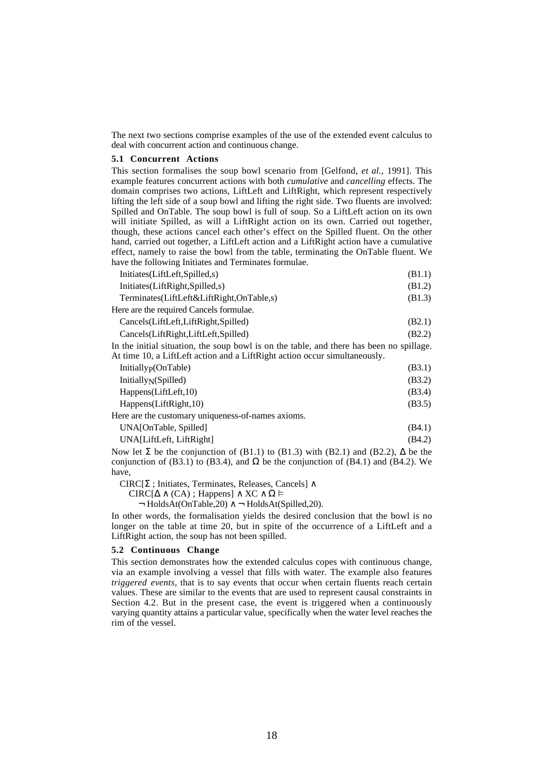The next two sections comprise examples of the use of the extended event calculus to deal with concurrent action and continuous change.

## **5.1 Concurrent Actions**

This section formalises the soup bowl scenario from [Gelfond, *et al.*, 1991]. This example features concurrent actions with both *cumulative* and *cancelling* effects. The domain comprises two actions, LiftLeft and LiftRight, which represent respectively lifting the left side of a soup bowl and lifting the right side. Two fluents are involved: Spilled and OnTable. The soup bowl is full of soup. So a LiftLeft action on its own will initiate Spilled, as will a LiftRight action on its own. Carried out together, though, these actions cancel each other's effect on the Spilled fluent. On the other hand, carried out together, a LiftLeft action and a LiftRight action have a cumulative effect, namely to raise the bowl from the table, terminating the OnTable fluent. We have the following Initiates and Terminates formulae.

| Initiates(LiftLeft,Spilled,s)                                                                                                                                          | (B1.1) |
|------------------------------------------------------------------------------------------------------------------------------------------------------------------------|--------|
| Initiates(LiftRight,Spilled,s)                                                                                                                                         | (B1.2) |
| Terminates(LiftLeft&LiftRight,OnTable,s)                                                                                                                               | (B1.3) |
| Here are the required Cancels formulae.                                                                                                                                |        |
| Cancels(LiftLeft,LiftRight,Spilled)                                                                                                                                    | (B2.1) |
| Cancels(LiftRight,LiftLeft,Spilled)                                                                                                                                    | (B2.2) |
| In the initial situation, the soup bowl is on the table, and there has been no spillage.<br>At time 10, a LiftLeft action and a LiftRight action occur simultaneously. |        |
| Initially <sub>p</sub> (OnTable)                                                                                                                                       | (B3.1) |
| Initially $N(Spilled)$                                                                                                                                                 | (B3.2) |
| Happens(LiftLeft,10)                                                                                                                                                   | (B3.4) |
| Happens(LiftRight, 10)                                                                                                                                                 | (B3.5) |
| Here are the customary uniqueness-of-names axioms.                                                                                                                     |        |
| UNA[OnTable, Spilled]                                                                                                                                                  | (B4.1) |
| UNA[LiftLeft, LiftRight]                                                                                                                                               | (B4.2) |
| $C \cap A$ $A \setminus C$ $B \setminus A$<br>$\mathbf{1}$ $(0, 0, 1)$                                                                                                 |        |

Now let  $\Sigma$  be the conjunction of (B1.1) to (B1.3) with (B2.1) and (B2.2),  $\Delta$  be the conjunction of (B3.1) to (B3.4), and  $\Omega$  be the conjunction of (B4.1) and (B4.2). We have,

CIRC[Σ ; Initiates, Terminates, Releases, Cancels] <sup>∧</sup>

 $CIRC[\Delta \wedge (CA)$ ; Happens]  $\wedge$  XC  $\wedge$  Ω  $\models$ 

<sup>¬</sup> HoldsAt(OnTable,20) <sup>∧</sup> <sup>¬</sup> HoldsAt(Spilled,20).

In other words, the formalisation yields the desired conclusion that the bowl is no longer on the table at time 20, but in spite of the occurrence of a LiftLeft and a LiftRight action, the soup has not been spilled.

## **5.2 Continuous Change**

This section demonstrates how the extended calculus copes with continuous change, via an example involving a vessel that fills with water. The example also features *triggered events*, that is to say events that occur when certain fluents reach certain values. These are similar to the events that are used to represent causal constraints in Section 4.2. But in the present case, the event is triggered when a continuously varying quantity attains a particular value, specifically when the water level reaches the rim of the vessel.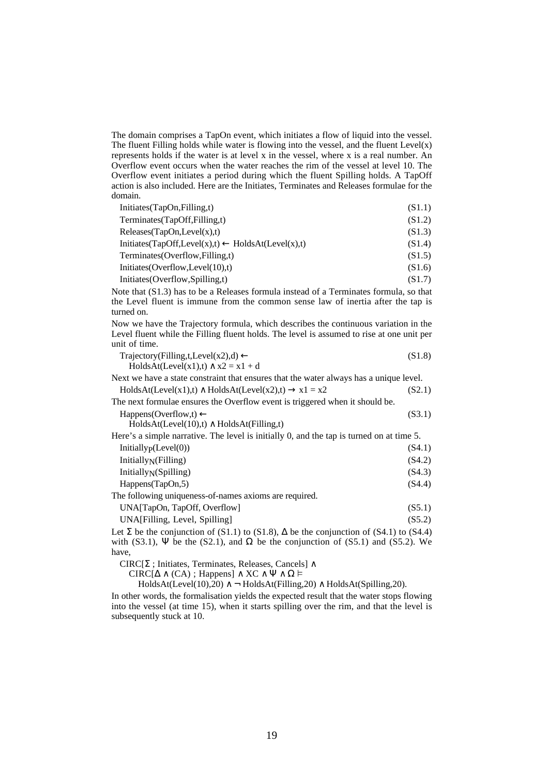The domain comprises a TapOn event, which initiates a flow of liquid into the vessel. The fluent Filling holds while water is flowing into the vessel, and the fluent  $Level(x)$ represents holds if the water is at level x in the vessel, where x is a real number. An Overflow event occurs when the water reaches the rim of the vessel at level 10. The Overflow event initiates a period during which the fluent Spilling holds. A TapOff action is also included. Here are the Initiates, Terminates and Releases formulae for the domain.

| Initiates(TapOn,Filling,t)                                       | (S1.1) |
|------------------------------------------------------------------|--------|
| Terminates(TapOff,Filling,t)                                     | (S1.2) |
| Releases(TapOn,Level(x),t)                                       | (S1.3) |
| $Initiates(TapOff, Level(x), t) \leftarrow HoldsAt(Level(x), t)$ | (S1.4) |
| Terminates (Overflow, Filling, t)                                | (S1.5) |
| Initiates(Overflow,Level(10),t)                                  | (S1.6) |
| Initiates(Overflow,Spilling,t)                                   | (S1.7) |
|                                                                  |        |

Note that (S1.3) has to be a Releases formula instead of a Terminates formula, so that the Level fluent is immune from the common sense law of inertia after the tap is turned on.

Now we have the Trajectory formula, which describes the continuous variation in the Level fluent while the Filling fluent holds. The level is assumed to rise at one unit per unit of time.

| $Trajectory(Filling, t, Level(x2), d) \leftarrow$ | (S1.8) |
|---------------------------------------------------|--------|
| $HoldsAt(Level(x1),t) \wedge x2 = x1 + d$         |        |

Next we have a state constraint that ensures that the water always has a unique level.

| $HoldsAt(Level(x1),t) \wedge HoldsAt(Level(x2),t) \rightarrow x1 = x2$                   | (S2.1) |
|------------------------------------------------------------------------------------------|--------|
| The next formulae ensures the Overflow event is triggered when it should be.             |        |
| $Happens(Overflow,t) \leftarrow$                                                         | (S3.1) |
| $HoldsAt(Level(10), t) \wedge HoldsAt(Filling, t)$                                       |        |
| Here's a simple narrative. The level is initially 0, and the tap is turned on at time 5. |        |
| Initiallyp(Level(0))                                                                     | (S4.1) |
| Initially <sub>N</sub> (Filling)                                                         | (S4.2) |
| Initially $N(Spilling)$                                                                  | (S4.3) |
|                                                                                          |        |

Happens(TapOn,5) (S4.4)

The following uniqueness-of-names axioms are required. UNA[TapOn, TapOff, Overflow] (S5.1) UNA[Filling, Level, Spilling] (S5.2)

Let  $\Sigma$  be the conjunction of (S1.1) to (S1.8),  $\Delta$  be the conjunction of (S4.1) to (S4.4) with (S3.1), Ψ be the (S2.1), and  $\Omega$  be the conjunction of (S5.1) and (S5.2). We have,

CIRC[Σ ; Initiates, Terminates, Releases, Cancels] <sup>∧</sup>

CIRC[ $\Delta \wedge$  (CA) ; Happens]  $\wedge$  XC  $\wedge$   $\Psi \wedge \Omega$   $\models$ 

HoldsAt(Level(10),20)  $\land$   $\neg$  HoldsAt(Filling,20)  $\land$  HoldsAt(Spilling,20).

In other words, the formalisation yields the expected result that the water stops flowing into the vessel (at time 15), when it starts spilling over the rim, and that the level is subsequently stuck at 10.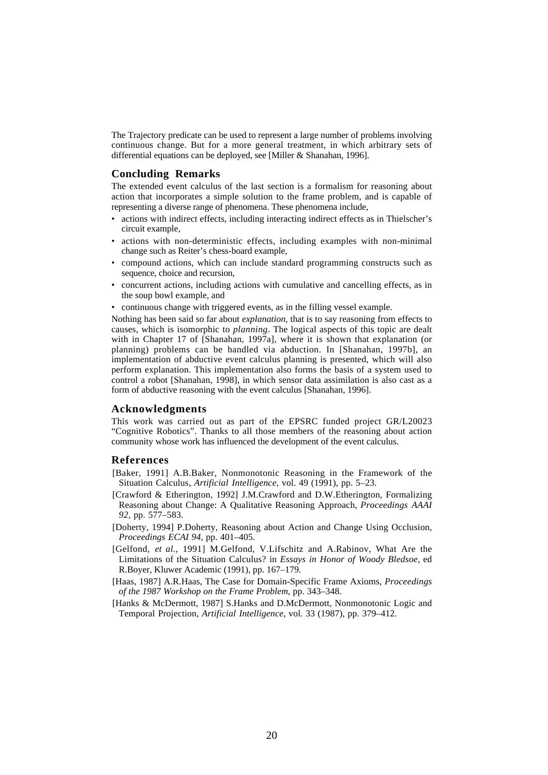The Trajectory predicate can be used to represent a large number of problems involving continuous change. But for a more general treatment, in which arbitrary sets of differential equations can be deployed, see [Miller & Shanahan, 1996].

# **Concluding Remarks**

The extended event calculus of the last section is a formalism for reasoning about action that incorporates a simple solution to the frame problem, and is capable of representing a diverse range of phenomena. These phenomena include,

- actions with indirect effects, including interacting indirect effects as in Thielscher's circuit example,
- actions with non-deterministic effects, including examples with non-minimal change such as Reiter's chess-board example,
- compound actions, which can include standard programming constructs such as sequence, choice and recursion,
- • concurrent actions, including actions with cumulative and cancelling effects, as in the soup bowl example, and
- continuous change with triggered events, as in the filling vessel example.

Nothing has been said so far about *explanation*, that is to say reasoning from effects to causes, which is isomorphic to *planning*. The logical aspects of this topic are dealt with in Chapter 17 of [Shanahan, 1997a], where it is shown that explanation (or planning) problems can be handled via abduction. In [Shanahan, 1997b], an implementation of abductive event calculus planning is presented, which will also perform explanation. This implementation also forms the basis of a system used to control a robot [Shanahan, 1998], in which sensor data assimilation is also cast as a form of abductive reasoning with the event calculus [Shanahan, 1996].

## **Acknowledgments**

This work was carried out as part of the EPSRC funded project GR/L20023 "Cognitive Robotics". Thanks to all those members of the reasoning about action community whose work has influenced the development of the event calculus.

## **References**

- [Baker, 1991] A.B.Baker, Nonmonotonic Reasoning in the Framework of the Situation Calculus, *Artificial Intelligence*, vol. 49 (1991), pp. 5–23.
- [Crawford & Etherington, 1992] J.M.Crawford and D.W.Etherington, Formalizing Reasoning about Change: A Qualitative Reasoning Approach, *Proceedings AAAI 92*, pp. 577–583.
- [Doherty, 1994] P.Doherty, Reasoning about Action and Change Using Occlusion, *Proceedings ECAI 94*, pp. 401–405.
- [Gelfond, et al., 1991] M.Gelfond, V.Lifschitz and A.Rabinov, What Are the Limitations of the Situation Calculus? in *Essays in Honor of Woody Bledsoe*, ed R.Boyer, Kluwer Academic (1991), pp. 167–179.
- [Haas, 1987] A.R.Haas, The Case for Domain-Specific Frame Axioms, *Proceedings of the 1987 Workshop on the Frame Problem*, pp. 343–348.
- [Hanks & McDermott, 1987] S.Hanks and D.McDermott, Nonmonotonic Logic and Temporal Projection, *Artificial Intelligence*, vol. 33 (1987), pp. 379–412.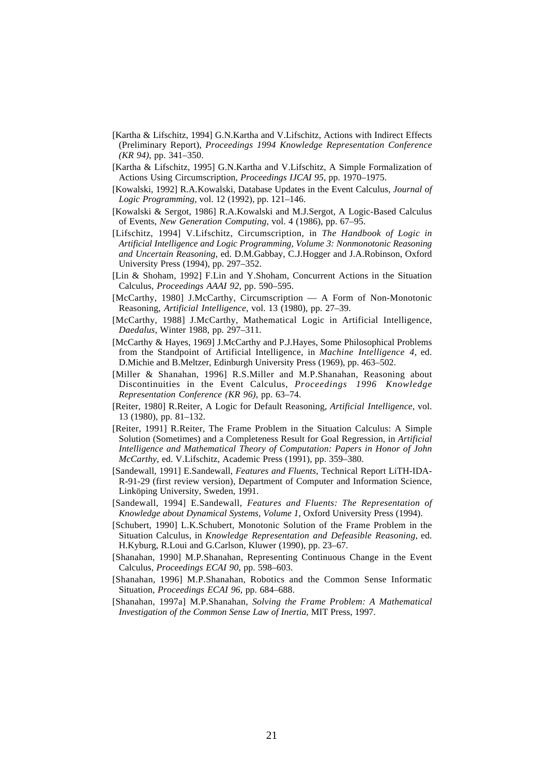- [Kartha & Lifschitz, 1994] G.N.Kartha and V.Lifschitz, Actions with Indirect Effects (Preliminary Report), *Proceedings 1994 Knowledge Representation Conference (KR 94)*, pp. 341–350.
- [Kartha & Lifschitz, 1995] G.N.Kartha and V.Lifschitz, A Simple Formalization of Actions Using Circumscription, *Proceedings IJCAI 95*, pp. 1970–1975.
- [Kowalski, 1992] R.A.Kowalski, Database Updates in the Event Calculus, *Journal of Logic Programming*, vol. 12 (1992), pp. 121–146.
- [Kowalski & Sergot, 1986] R.A.Kowalski and M.J.Sergot, A Logic-Based Calculus of Events, *New Generation Computing*, vol. 4 (1986), pp. 67–95.
- [Lifschitz, 1994] V.Lifschitz, Circumscription, in *The Handbook of Logic in Artificial Intelligence and Logic Programming, Volume 3: Nonmonotonic Reasoning and Uncertain Reasoning*, ed. D.M.Gabbay, C.J.Hogger and J.A.Robinson, Oxford University Press (1994), pp. 297–352.
- [Lin & Shoham, 1992] F.Lin and Y.Shoham, Concurrent Actions in the Situation Calculus, *Proceedings AAAI 92*, pp. 590–595.
- [McCarthy, 1980] J.McCarthy, Circumscription A Form of Non-Monotonic Reasoning, *Artificial Intelligence*, vol. 13 (1980), pp. 27–39.
- [McCarthy, 1988] J.McCarthy, Mathematical Logic in Artificial Intelligence, *Daedalus*, Winter 1988, pp. 297–311.
- [McCarthy & Hayes, 1969] J.McCarthy and P.J.Hayes, Some Philosophical Problems from the Standpoint of Artificial Intelligence, in *Machine Intelligence 4*, ed. D.Michie and B.Meltzer, Edinburgh University Press (1969), pp. 463–502.
- [Miller & Shanahan, 1996] R.S.Miller and M.P.Shanahan, Reasoning about Discontinuities in the Event Calculus, *Proceedings 1996 Knowledge Representation Conference (KR 96)*, pp. 63–74.
- [Reiter, 1980] R.Reiter, A Logic for Default Reasoning, *Artificial Intelligence*, vol. 13 (1980), pp. 81–132.
- [Reiter, 1991] R.Reiter, The Frame Problem in the Situation Calculus: A Simple Solution (Sometimes) and a Completeness Result for Goal Regression, in *Artificial Intelligence and Mathematical Theory of Computation: Papers in Honor of John McCarthy*, ed. V.Lifschitz, Academic Press (1991), pp. 359–380.
- [Sandewall, 1991] E.Sandewall, *Features and Fluents*, Technical Report LiTH-IDA-R-91-29 (first review version), Department of Computer and Information Science, Linköping University, Sweden, 1991.
- [Sandewall, 1994] E.Sandewall, *Features and Fluents: The Representation of Knowledge about Dynamical Systems, Volume 1*, Oxford University Press (1994).
- [Schubert, 1990] L.K.Schubert, Monotonic Solution of the Frame Problem in the Situation Calculus, in *Knowledge Representation and Defeasible Reasoning*, ed. H.Kyburg, R.Loui and G.Carlson, Kluwer (1990), pp. 23–67.
- [Shanahan, 1990] M.P.Shanahan, Representing Continuous Change in the Event Calculus, *Proceedings ECAI 90*, pp. 598–603.
- [Shanahan, 1996] M.P.Shanahan, Robotics and the Common Sense Informatic Situation, *Proceedings ECAI 96*, pp. 684–688.
- [Shanahan, 1997a] M.P.Shanahan, *Solving the Frame Problem: A Mathematical Investigation of the Common Sense Law of Inertia*, MIT Press, 1997.